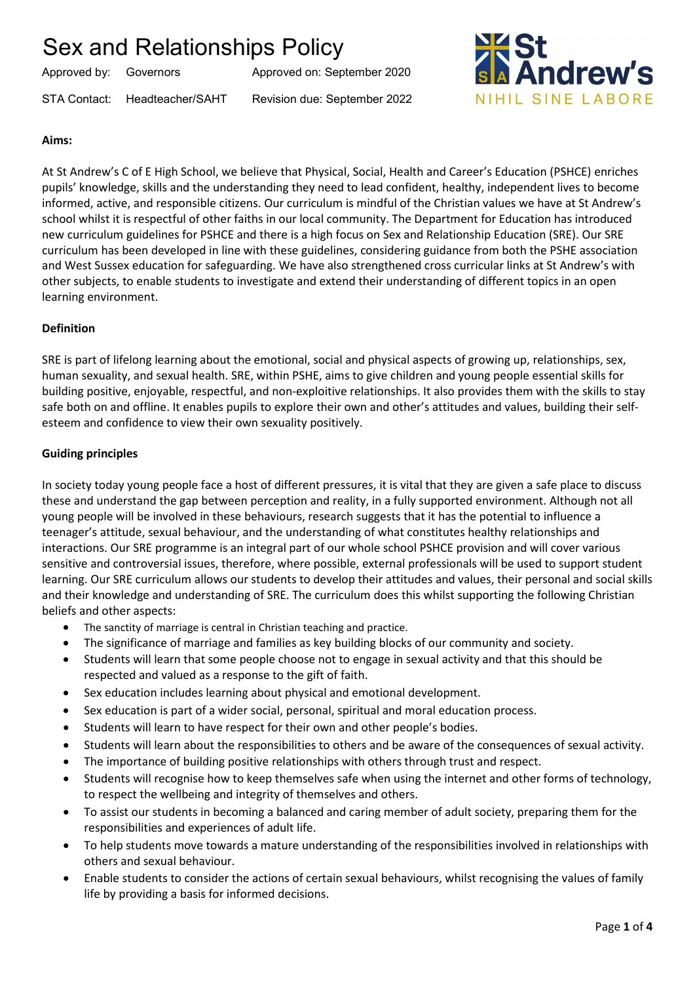Approved by: Governors Approved on: September 2020

STA Contact: Headteacher/SAHT Revision due: September 2022



## **Aims:**

At St Andrew's C of E High School, we believe that Physical, Social, Health and Career's Education (PSHCE) enriches pupils' knowledge, skills and the understanding they need to lead confident, healthy, independent lives to become informed, active, and responsible citizens. Our curriculum is mindful of the Christian values we have at St Andrew's school whilst it is respectful of other faiths in our local community. The Department for Education has introduced new curriculum guidelines for PSHCE and there is a high focus on Sex and Relationship Education (SRE). Our SRE curriculum has been developed in line with these guidelines, considering guidance from both the PSHE association and West Sussex education for safeguarding. We have also strengthened cross curricular links at St Andrew's with other subjects, to enable students to investigate and extend their understanding of different topics in an open learning environment.

## **Definition**

SRE is part of lifelong learning about the emotional, social and physical aspects of growing up, relationships, sex, human sexuality, and sexual health. SRE, within PSHE, aims to give children and young people essential skills for building positive, enjoyable, respectful, and non-exploitive relationships. It also provides them with the skills to stay safe both on and offline. It enables pupils to explore their own and other's attitudes and values, building their selfesteem and confidence to view their own sexuality positively.

## **Guiding principles**

In society today young people face a host of different pressures, it is vital that they are given a safe place to discuss these and understand the gap between perception and reality, in a fully supported environment. Although not all young people will be involved in these behaviours, research suggests that it has the potential to influence a teenager's attitude, sexual behaviour, and the understanding of what constitutes healthy relationships and interactions. Our SRE programme is an integral part of our whole school PSHCE provision and will cover various sensitive and controversial issues, therefore, where possible, external professionals will be used to support student learning. Our SRE curriculum allows our students to develop their attitudes and values, their personal and social skills and their knowledge and understanding of SRE. The curriculum does this whilst supporting the following Christian beliefs and other aspects:

- The sanctity of marriage is central in Christian teaching and practice.
- The significance of marriage and families as key building blocks of our community and society.
- Students will learn that some people choose not to engage in sexual activity and that this should be respected and valued as a response to the gift of faith.
- Sex education includes learning about physical and emotional development.
- Sex education is part of a wider social, personal, spiritual and moral education process.
- Students will learn to have respect for their own and other people's bodies.
- Students will learn about the responsibilities to others and be aware of the consequences of sexual activity.
- The importance of building positive relationships with others through trust and respect.
- Students will recognise how to keep themselves safe when using the internet and other forms of technology, to respect the wellbeing and integrity of themselves and others.
- To assist our students in becoming a balanced and caring member of adult society, preparing them for the responsibilities and experiences of adult life.
- To help students move towards a mature understanding of the responsibilities involved in relationships with others and sexual behaviour.
- Enable students to consider the actions of certain sexual behaviours, whilst recognising the values of family life by providing a basis for informed decisions.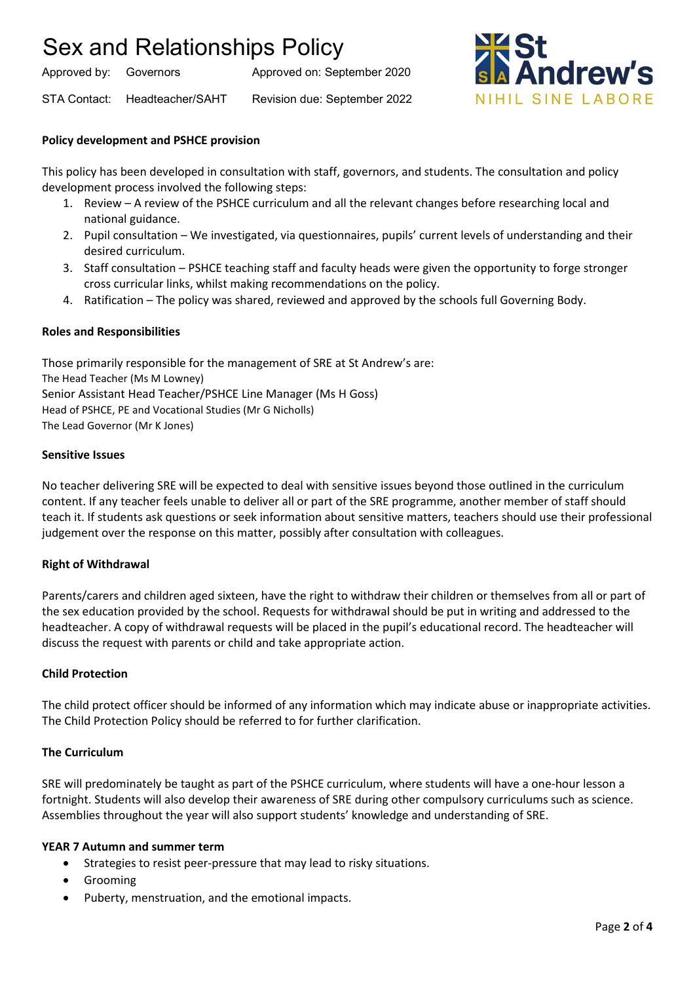Approved by: Governors Approved on: September 2020





### **Policy development and PSHCE provision**

This policy has been developed in consultation with staff, governors, and students. The consultation and policy development process involved the following steps:

- 1. Review A review of the PSHCE curriculum and all the relevant changes before researching local and national guidance.
- 2. Pupil consultation We investigated, via questionnaires, pupils' current levels of understanding and their desired curriculum.
- 3. Staff consultation PSHCE teaching staff and faculty heads were given the opportunity to forge stronger cross curricular links, whilst making recommendations on the policy.
- 4. Ratification The policy was shared, reviewed and approved by the schools full Governing Body.

### **Roles and Responsibilities**

Those primarily responsible for the management of SRE at St Andrew's are: The Head Teacher (Ms M Lowney) Senior Assistant Head Teacher/PSHCE Line Manager (Ms H Goss) Head of PSHCE, PE and Vocational Studies (Mr G Nicholls) The Lead Governor (Mr K Jones)

#### **Sensitive Issues**

No teacher delivering SRE will be expected to deal with sensitive issues beyond those outlined in the curriculum content. If any teacher feels unable to deliver all or part of the SRE programme, another member of staff should teach it. If students ask questions or seek information about sensitive matters, teachers should use their professional judgement over the response on this matter, possibly after consultation with colleagues.

### **Right of Withdrawal**

Parents/carers and children aged sixteen, have the right to withdraw their children or themselves from all or part of the sex education provided by the school. Requests for withdrawal should be put in writing and addressed to the headteacher. A copy of withdrawal requests will be placed in the pupil's educational record. The headteacher will discuss the request with parents or child and take appropriate action.

#### **Child Protection**

The child protect officer should be informed of any information which may indicate abuse or inappropriate activities. The Child Protection Policy should be referred to for further clarification.

#### **The Curriculum**

SRE will predominately be taught as part of the PSHCE curriculum, where students will have a one-hour lesson a fortnight. Students will also develop their awareness of SRE during other compulsory curriculums such as science. Assemblies throughout the year will also support students' knowledge and understanding of SRE.

### **YEAR 7 Autumn and summer term**

- Strategies to resist peer-pressure that may lead to risky situations.
- Grooming
- Puberty, menstruation, and the emotional impacts.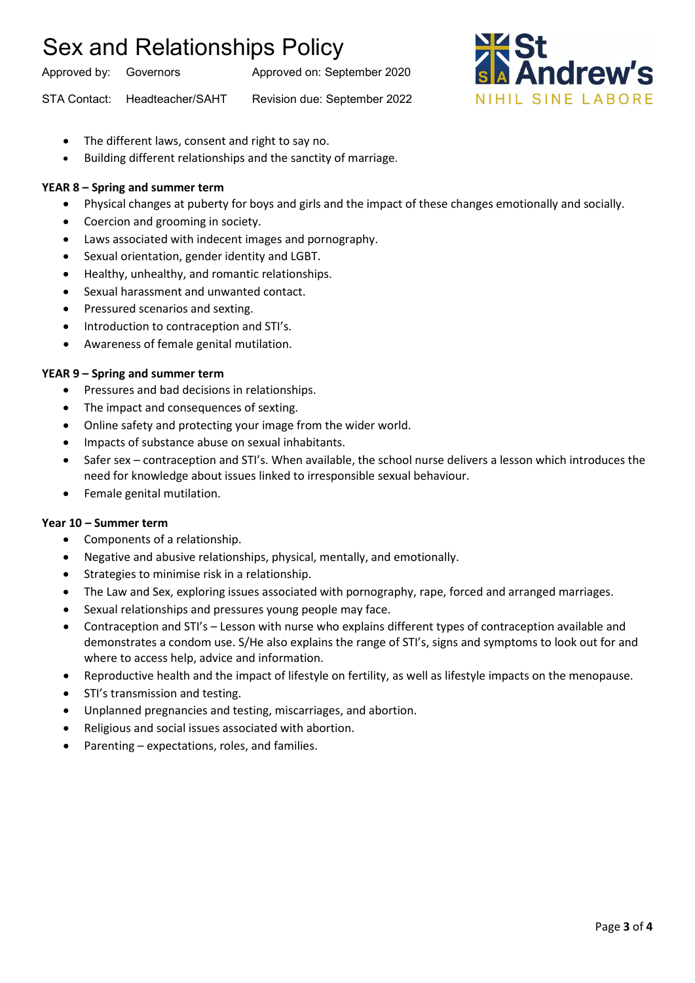Approved by: Governors Approved on: September 2020

STA Contact: Headteacher/SAHT Revision due: September 2022



- The different laws, consent and right to say no.
- Building different relationships and the sanctity of marriage.

## **YEAR 8 – Spring and summer term**

- Physical changes at puberty for boys and girls and the impact of these changes emotionally and socially.
- Coercion and grooming in society.
- Laws associated with indecent images and pornography.
- Sexual orientation, gender identity and LGBT.
- Healthy, unhealthy, and romantic relationships.
- Sexual harassment and unwanted contact.
- Pressured scenarios and sexting.
- Introduction to contraception and STI's.
- Awareness of female genital mutilation.

## **YEAR 9 – Spring and summer term**

- Pressures and bad decisions in relationships.
- The impact and consequences of sexting.
- Online safety and protecting your image from the wider world.
- Impacts of substance abuse on sexual inhabitants.
- Safer sex contraception and STI's. When available, the school nurse delivers a lesson which introduces the need for knowledge about issues linked to irresponsible sexual behaviour.
- Female genital mutilation.

## **Year 10 – Summer term**

- Components of a relationship.
- Negative and abusive relationships, physical, mentally, and emotionally.
- Strategies to minimise risk in a relationship.
- The Law and Sex, exploring issues associated with pornography, rape, forced and arranged marriages.
- Sexual relationships and pressures young people may face.
- Contraception and STI's Lesson with nurse who explains different types of contraception available and demonstrates a condom use. S/He also explains the range of STI's, signs and symptoms to look out for and where to access help, advice and information.
- Reproductive health and the impact of lifestyle on fertility, as well as lifestyle impacts on the menopause.
- STI's transmission and testing.
- Unplanned pregnancies and testing, miscarriages, and abortion.
- Religious and social issues associated with abortion.
- Parenting expectations, roles, and families.